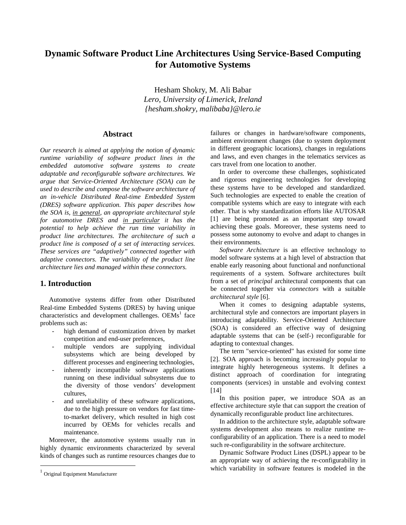# **Dynamic Software Product Line Architectures Using Service-Based Computing for Automotive Systems**

Hesham Shokry, M. Ali Babar *Lero, University of Limerick, Ireland {hesham.shokry, malibaba}@lero.ie*

### **Abstract**

*Our research is aimed at applying the notion of dynamic runtime variability of software product lines in the embedded automotive software systems to create adaptable and reconfigurable software architectures. We argue that Service-Oriented Architecture (SOA) can be used to describe and compose the software architecture of an in-vehicle Distributed Real-time Embedded System (DRES) software application. This paper describes how the SOA is, in general, an appropriate architectural style for automotive DRES and in particular it has the potential to help achieve the run time variability in product line architectures. The architecture of such a product line is composed of a set of interacting services. These services are "adaptively" connected together with adaptive connectors. The variability of the product line architecture lies and managed within these connectors.*

### **1. Introduction**

Automotive systems differ from other Distributed Real-time Embedded Systems (DRES) by having unique characteristics and development challenges. OEMs<sup>1</sup> face problems such as:

- high demand of customization driven by market competition and end-user preferences,
- multiple vendors are supplying individual subsystems which are being developed by different processes and engineering technologies,
- inherently incompatible software applications running on these individual subsystems due to the diversity of those vendors' development cultures,
- and unreliability of these software applications, due to the high pressure on vendors for fast timeto-market delivery, which resulted in high cost incurred by OEMs for vehicles recalls and maintenance.

Moreover, the automotive systems usually run in highly dynamic environments characterized by several kinds of changes such as runtime resources changes due to

 $\overline{a}$ 

failures or changes in hardware/software components, ambient environment changes (due to system deployment in different geographic locations), changes in regulations and laws, and even changes in the telematics services as cars travel from one location to another.

In order to overcome these challenges, sophisticated and rigorous engineering technologies for developing these systems have to be developed and standardized. Such technologies are expected to enable the creation of compatible systems which are easy to integrate with each other. That is why standardization efforts like AUTOSAR [1] are being promoted as an important step toward achieving these goals. Moreover, these systems need to possess some autonomy to evolve and adapt to changes in their environments.

*Software Architecture* is an effective technology to model software systems at a high level of abstraction that enable early reasoning about functional and nonfunctional requirements of a system. Software architectures built from a set of *principal* architectural components that can be connected together via *connectors* with a suitable *architectural style* [6].

When it comes to designing adaptable systems, architectural style and connectors are important players in introducing adaptability. Service-Oriented Architecture (SOA) is considered an effective way of designing adaptable systems that can be (self-) reconfigurable for adapting to contextual changes.

The term "service-oriented" has existed for some time [2]. SOA approach is becoming increasingly popular to integrate highly heterogeneous systems. It defines a distinct approach of coordination for integrating components (services) in unstable and evolving context [14]

In this position paper, we introduce SOA as an effective architecture style that can support the creation of dynamically reconfigurable product line architectures.

In addition to the architecture style, adaptable software systems development also means to realize runtime reconfigurability of an application. There is a need to model such re-configurability in the software architecture.

Dynamic Software Product Lines (DSPL) appear to be an appropriate way of achieving the re-configurability in which variability in software features is modeled in the

 $<sup>1</sup>$  Original Equipment Manufacturer</sup>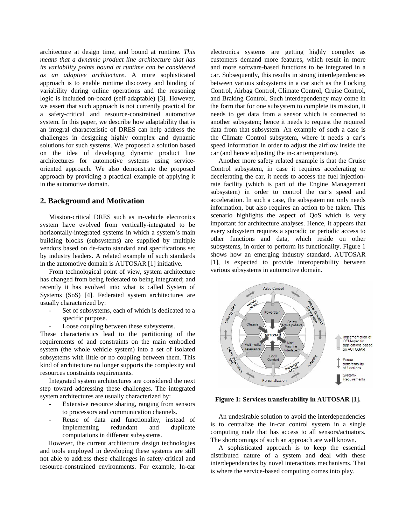architecture at design time, and bound at runtime*. This means that a dynamic product line architecture that has its variability points bound at runtime can be considered as an adaptive architecture*. A more sophisticated approach is to enable runtime discovery and binding of variability during online operations and the reasoning logic is included on-board (self-adaptable) [3]. However, we assert that such approach is not currently practical for a safety-critical and resource-constrained automotive system. In this paper, we describe how adaptability that is an integral characteristic of DRES can help address the challenges in designing highly complex and dynamic solutions for such systems. We proposed a solution based on the idea of developing dynamic product line architectures for automotive systems using serviceoriented approach. We also demonstrate the proposed approach by providing a practical example of applying it in the automotive domain.

#### **2. Background and Motivation**

Mission-critical DRES such as in-vehicle electronics system have evolved from vertically-integrated to be horizontally-integrated systems in which a system's main building blocks (subsystems) are supplied by multiple vendors based on de-facto standard and specifications set by industry leaders. A related example of such standards in the automotive domain is AUTOSAR [1] initiative.

From technological point of view, system architecture has changed from being federated to being integrated; and recently it has evolved into what is called System of Systems (SoS) [4]. Federated system architectures are usually characterized by:

- Set of subsystems, each of which is dedicated to a specific purpose.
- Loose coupling between these subsystems.

These characteristics lead to the partitioning of the requirements of and constraints on the main embodied system (the whole vehicle system) into a set of isolated subsystems with little or no coupling between them. This kind of architecture no longer supports the complexity and resources constraints requirements.

Integrated system architectures are considered the next step toward addressing these challenges. The integrated system architectures are usually characterized by:

- Extensive resource sharing, ranging from sensors to processors and communication channels.
- Reuse of data and functionality, instead of implementing redundant and duplicate computations in different subsystems.

However, the current architecture design technologies and tools employed in developing these systems are still not able to address these challenges in safety-critical and resource-constrained environments. For example, In-car

electronics systems are getting highly complex as customers demand more features, which result in more and more software-based functions to be integrated in a car. Subsequently, this results in strong interdependencies between various subsystems in a car such as the Locking Control, Airbag Control, Climate Control, Cruise Control, and Braking Control. Such interdependency may come in the form that for one subsystem to complete its mission, it needs to get data from a sensor which is connected to another subsystem; hence it needs to request the required data from that subsystem. An example of such a case is the Climate Control subsystem, where it needs a car's speed information in order to adjust the airflow inside the car (and hence adjusting the in-car temperature).

Another more safety related example is that the Cruise Control subsystem, in case it requires accelerating or decelerating the car, it needs to access the fuel injectionrate facility (which is part of the Engine Management subsystem) in order to control the car's speed and acceleration. In such a case, the subsystem not only needs information, but also requires an action to be taken. This scenario highlights the aspect of QoS which is very important for architecture analyses. Hence, it appears that every subsystem requires a sporadic or periodic access to other functions and data, which reside on other subsystems, in order to perform its functionality. Figure 1 shows how an emerging industry standard, AUTOSAR [1], is expected to provide interoperability between various subsystems in automotive domain.



#### **Figure 1: Services transferability in AUTOSAR [1].**

An undesirable solution to avoid the interdependencies is to centralize the in-car control system in a single computing node that has access to all sensors/actuators. The shortcomings of such an approach are well known.

A sophisticated approach is to keep the essential distributed nature of a system and deal with these interdependencies by novel interactions mechanisms. That is where the service-based computing comes into play.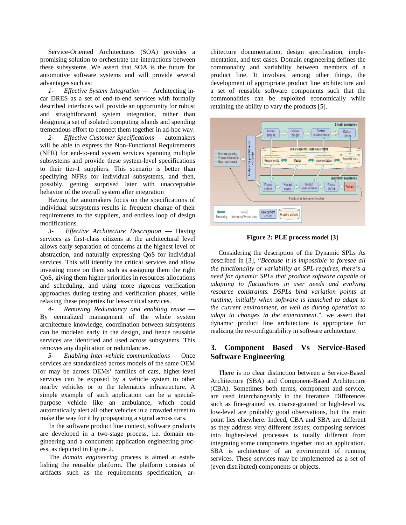Service-Oriented Architectures (SOA) provides a promising solution to orchestrate the interactions between these subsystems. We assert that SOA is the future for automotive software systems and will provide several advantages such as:

*1- Effective System Integration* –– Architecting incar DRES as a set of end-to-end services with formally described interfaces will provide an opportunity for robust and straightforward system integration, rather than designing a set of isolated computing islands and spending tremendous effort to connect them together in ad-hoc way.

*2- Effective Customer Specifications* –– automakers will be able to express the Non-Functional Requirements (NFR) for end-to-end system services spanning multiple subsystems and provide these system-level specifications to their tier-1 suppliers. This scenario is better than specifying NFRs for individual subsystems, and then, possibly, getting surprised later with unacceptable behavior of the overall system after integration

Having the automakers focus on the specifications of individual subsystems results in frequent change of their requirements to the suppliers, and endless loop of design modifications.

*3- Effective Architecture Description* –– Having services as first-class citizens at the architectural level allows early separation of concerns at the highest level of abstraction, and naturally expressing QoS for individual services. This will identify the critical services and allow investing more on them such as assigning them the right QoS, giving them higher priorities in resources allocations and scheduling, and using more rigorous verification approaches during testing and verification phases, while relaxing these properties for less-critical services.

*4- Removing Redundancy and enabling reuse* –– By centralized management of the whole system architecture knowledge, coordination between subsystems can be modeled early in the design, and hence reusable services are identified and used across subsystems. This removes any duplication or redundancies.

*5- Enabling Inter-vehicle communications* –– Once services are standardized across models of the same OEM or may be across OEMs' families of cars, higher-level services can be exposed by a vehicle system to other nearby vehicles or to the telematics infrastructure. A simple example of such application can be a specialpurpose vehicle like an ambulance, which could automatically alert all other vehicles in a crowded street to make the way for it by propagating a signal across cars.

In the software product line context, software products are developed in a two-stage process, i.e. domain engineering and a concurrent application engineering process, as depicted in Figure 2.

The *domain engineering* process is aimed at establishing the reusable platform. The platform consists of artifacts such as the requirements specification, architecture documentation, design specification, implementation, and test cases. Domain engineering defines the commonality and variability between members of a product line. It involves, among other things, the development of appropriate product line architecture and a set of reusable software components such that the commonalities can be exploited economically while retaining the ability to vary the products [5].



**Figure 2: PLE process model [3]**

Considering the description of the Dynamic SPLs As described in [3], "*Because it is impossible to foresee all the functionality or variability an SPL requires, there's a need for dynamic SPLs that produce software capable of adapting to fluctuations in user needs and evolving resource constraints. DSPLs bind variation points at runtime, initially when software is launched to adapt to the current environment, as well as during operation to adapt to changes in the environment.*", we assert that dynamic product line architecture is appropriate for realizing the re-configurability in software architecture.

# **3. Component Based Vs Service-Based Software Engineering**

There is no clear distinction between a Service-Based Architecture (SBA) and Component-Based Architecture (CBA). Sometimes both terms, component and service, are used interchangeably in the literature. Differences such as fine-grained vs. coarse-grained or high-level vs. low-level are probably good observations, but the main point lies elsewhere. Indeed, CBA and SBA are different as they address very different issues; composing services into higher-level processes is totally different from integrating some components together into an application. SBA is architecture of an environment of running services. These services may be implemented as a set of (even distributed) components or objects.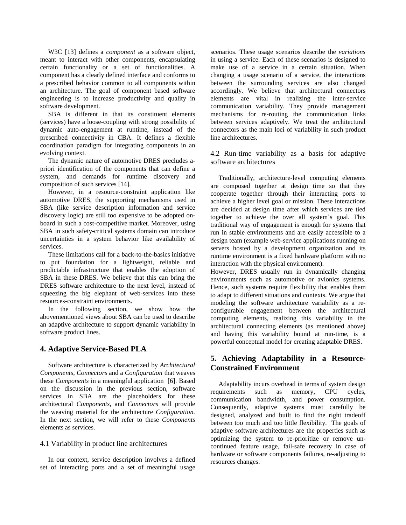W3C [13] defines a *component* as a software object, meant to interact with other components, encapsulating certain functionality or a set of functionalities. A component has a clearly defined interface and conforms to a prescribed behavior common to all components within an architecture. The goal of component based software engineering is to increase productivity and quality in software development.

SBA is different in that its constituent elements (services) have a loose-coupling with strong possibility of dynamic auto-engagement at runtime, instead of the prescribed connectivity in CBA. It defines a flexible coordination paradigm for integrating components in an evolving context.

The dynamic nature of automotive DRES precludes apriori identification of the components that can define a system, and demands for runtime discovery and composition of such services [14].

However, in a resource-constraint application like automotive DRES, the supporting mechanisms used in SBA (like service description information and service discovery logic) are still too expensive to be adopted onboard in such a cost-competitive market. Moreover, using SBA in such safety-critical systems domain can introduce uncertainties in a system behavior like availability of services.

These limitations call for a back-to-the-basics initiative to put foundation for a lightweight, reliable and predictable infrastructure that enables the adoption of SBA in these DRES. We believe that this can bring the DRES software architecture to the next level, instead of squeezing the big elephant of web-services into these resources-constraint environments.

In the following section, we show how the abovementioned views about SBA can be used to describe an adaptive architecture to support dynamic variability in software product lines.

# **4. Adaptive Service-Based PLA**

.

Software architecture is characterized by *Architectural Components*, *Connectors* and a *Configuration* that weaves these *Components* in a meaningful application [6]. Based on the discussion in the previous section, software services in SBA are the placeholders for these architectural *Components,* and *Connectors* will provide the weaving material for the architecture *Configuration.*  In the next section, we will refer to these *Components* elements as services.

#### 4.1 Variability in product line architectures

In our context, service description involves a defined set of interacting ports and a set of meaningful usage

scenarios. These usage scenarios describe the *variations* in using a service. Each of these scenarios is designed to make use of a service in a certain situation. When changing a usage scenario of a service, the interactions between the surrounding services are also changed accordingly. We believe that architectural connectors elements are vital in realizing the inter-service communication variability. They provide management mechanisms for re-routing the communication links between services adaptively. We treat the architectural connectors as the main loci of variability in such product line architectures.

4.2 Run-time variability as a basis for adaptive software architectures

Traditionally, architecture-level computing elements are composed together at design time so that they cooperate together through their interacting ports to achieve a higher level goal or mission. These interactions are decided at design time after which services are tied together to achieve the over all system's goal. This traditional way of engagement is enough for systems that run in stable environments and are easily accessible to a design team (example web-service applications running on servers hosted by a development organization and its runtime environment is a fixed hardware platform with no interaction with the physical environment).

However, DRES usually run in dynamically changing environments such as automotive or avionics systems. Hence, such systems require flexibility that enables them to adapt to different situations and contexts. We argue that modeling the software architecture variability as a reconfigurable engagement between the architectural computing elements, realizing this variability in the architectural connecting elements (as mentioned above) and having this variability bound at run-time, is a powerful conceptual model for creating adaptable DRES.

# **5. Achieving Adaptability in a Resource-Constrained Environment**

Adaptability incurs overhead in terms of system design requirements such as memory, CPU cycles, communication bandwidth, and power consumption. Consequently, adaptive systems must carefully be designed, analyzed and built to find the right tradeoff between too much and too little flexibility. The goals of adaptive software architectures are the properties such as optimizing the system to re-prioritize or remove uncontinued feature usage, fail-safe recovery in case of hardware or software components failures, re-adjusting to resources changes.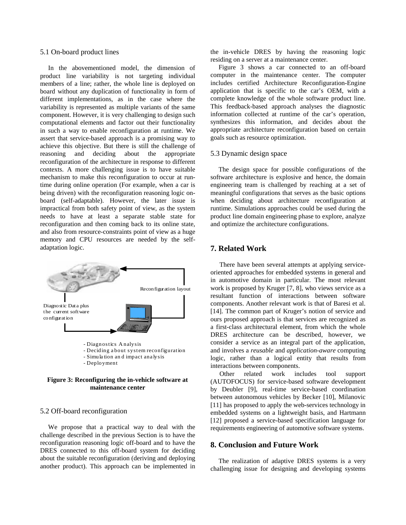#### 5.1 On-board product lines

In the abovementioned model, the dimension of product line variability is not targeting individual members of a line; rather, the whole line is deployed on board without any duplication of functionality in form of different implementations, as in the case where the variability is represented as multiple variants of the same component. However, it is very challenging to design such computational elements and factor out their functionality in such a way to enable reconfiguration at runtime. We assert that service-based approach is a promising way to achieve this objective. But there is still the challenge of reasoning and deciding about the appropriate reconfiguration of the architecture in response to different contexts. A more challenging issue is to have suitable mechanism to make this reconfiguration to occur at runtime during online operation (For example, when a car is being driven) with the reconfiguration reasoning logic onboard (self-adaptable). However, the later issue is impractical from both safety point of view, as the system needs to have at least a separate stable state for reconfiguration and then coming back to its online state, and also from resource-constraints point of view as a huge memory and CPU resources are needed by the selfadaptation logic.



**Figure 3: Reconfiguring the in-vehicle software at maintenance center**

### 5.2 Off-board reconfiguration

We propose that a practical way to deal with the challenge described in the previous Section is to have the reconfiguration reasoning logic off-board and to have the DRES connected to this off-board system for deciding about the suitable reconfiguration (deriving and deploying another product). This approach can be implemented in

the in-vehicle DRES by having the reasoning logic residing on a server at a maintenance center.

Figure 3 shows a car connected to an off-board computer in the maintenance center. The computer includes certified Architecture Reconfiguration-Engine application that is specific to the car's OEM, with a complete knowledge of the whole software product line. This feedback-based approach analyses the diagnostic information collected at runtime of the car's operation, synthesizes this information, and decides about the appropriate architecture reconfiguration based on certain goals such as resource optimization.

#### 5.3 Dynamic design space

The design space for possible configurations of the software architecture is explosive and hence, the domain engineering team is challenged by reaching at a set of meaningful configurations that serves as the basic options when deciding about architecture reconfiguration at runtime. Simulations approaches could be used during the product line domain engineering phase to explore, analyze and optimize the architecture configurations.

### **7. Related Work**

There have been several attempts at applying serviceoriented approaches for embedded systems in general and in automotive domain in particular. The most relevant work is proposed by Kruger [7, 8], who views service as a resultant function of interactions between software components. Another relevant work is that of Baresi et al. [14]. The common part of Kruger's notion of service and ours proposed approach is that services are recognized as a first-class architectural element, from which the whole DRES architecture can be described, however, we consider a service as an integral part of the application, and involves a *reusable* and *application-aware* computing logic, rather than a logical entity that results from interactions between components.

Other related work includes tool support (AUTOFOCUS) for service-based software development by Deubler [9], real-time service-based coordination between autonomous vehicles by Becker [10], Milanovic [11] has proposed to apply the web-services technology in embedded systems on a lightweight basis, and Hartmann [12] proposed a service-based specification language for requirements engineering of automotive software systems.

# **8. Conclusion and Future Work**

The realization of adaptive DRES systems is a very challenging issue for designing and developing systems